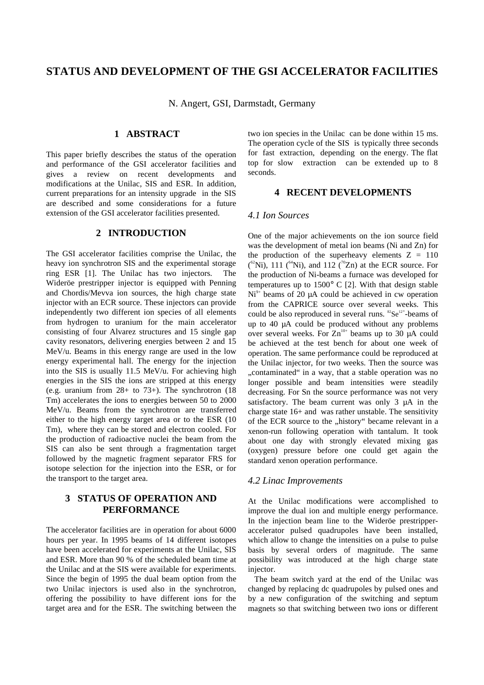# **STATUS AND DEVELOPMENT OF THE GSI ACCELERATOR FACILITIES**

N. Angert, GSI, Darmstadt, Germany

## **1 ABSTRACT**

This paper briefly describes the status of the operation and performance of the GSI accelerator facilities and gives a review on recent developments and modifications at the Unilac, SIS and ESR. In addition, current preparations for an intensity upgrade in the SIS are described and some considerations for a future extension of the GSI accelerator facilities presented.

#### **2 INTRODUCTION**

The GSI accelerator facilities comprise the Unilac, the heavy ion synchrotron SIS and the experimental storage ring ESR [1]. The Unilac has two injectors. The Wideröe prestripper injector is equipped with Penning and Chordis/Mevva ion sources, the high charge state injector with an ECR source. These injectors can provide independently two different ion species of all elements from hydrogen to uranium for the main accelerator consisting of four Alvarez structures and 15 single gap cavity resonators, delivering energies between 2 and 15 MeV/u. Beams in this energy range are used in the low energy experimental hall. The energy for the injection into the SIS is usually 11.5 MeV/u. For achieving high energies in the SIS the ions are stripped at this energy (e.g. uranium from  $28+$  to  $73+$ ). The synchrotron (18) Tm) accelerates the ions to energies between 50 to 2000 MeV/u. Beams from the synchrotron are transferred either to the high energy target area or to the ESR (10 Tm), where they can be stored and electron cooled. For the production of radioactive nuclei the beam from the SIS can also be sent through a fragmentation target followed by the magnetic fragment separator FRS for isotope selection for the injection into the ESR, or for the transport to the target area.

# **3 STATUS OF OPERATION AND PERFORMANCE**

The accelerator facilities are in operation for about 6000 hours per year. In 1995 beams of 14 different isotopes have been accelerated for experiments at the Unilac, SIS and ESR. More than 90 % of the scheduled beam time at the Unilac and at the SIS were available for experiments. Since the begin of 1995 the dual beam option from the two Unilac injectors is used also in the synchrotron, offering the possibility to have different ions for the target area and for the ESR. The switching between the two ion species in the Unilac can be done within 15 ms. The operation cycle of the SIS is typically three seconds for fast extraction, depending on the energy. The flat top for slow extraction can be extended up to 8 seconds.

## **4 RECENT DEVELOPMENTS**

#### *4.1 Ion Sources*

One of the major achievements on the ion source field was the development of metal ion beams (Ni and Zn) for the production of the superheavy elements  $Z = 110$  $($ <sup>62</sup>Ni), 111  $($ <sup>64</sup>Ni), and 112  $($ <sup>70</sup>Zn) at the ECR source. For the production of Ni-beams a furnace was developed for temperatures up to 1500° C [2]. With that design stable  $Ni<sup>9+</sup>$  beams of 20 µA could be achieved in cw operation from the CAPRICE source over several weeks. This could be also reproduced in several runs.  ${}^{82}Se^{12+}$ -beams of up to 40 µA could be produced without any problems over several weeks. For  $Zn^{10+}$  beams up to 30 µA could be achieved at the test bench for about one week of operation. The same performance could be reproduced at the Unilac injector, for two weeks. Then the source was ..contaminated in a way, that a stable operation was no longer possible and beam intensities were steadily decreasing. For Sn the source performance was not very satisfactory. The beam current was only 3 µA in the charge state 16+ and was rather unstable. The sensitivity of the ECR source to the "history" became relevant in a xenon-run following operation with tantalum. It took about one day with strongly elevated mixing gas (oxygen) pressure before one could get again the standard xenon operation performance.

#### *4.2 Linac Improvements*

At the Unilac modifications were accomplished to improve the dual ion and multiple energy performance. In the injection beam line to the Wideröe prestripperaccelerator pulsed quadrupoles have been installed, which allow to change the intensities on a pulse to pulse basis by several orders of magnitude. The same possibility was introduced at the high charge state injector.

 The beam switch yard at the end of the Unilac was changed by replacing dc quadrupoles by pulsed ones and by a new configuration of the switching and septum magnets so that switching between two ions or different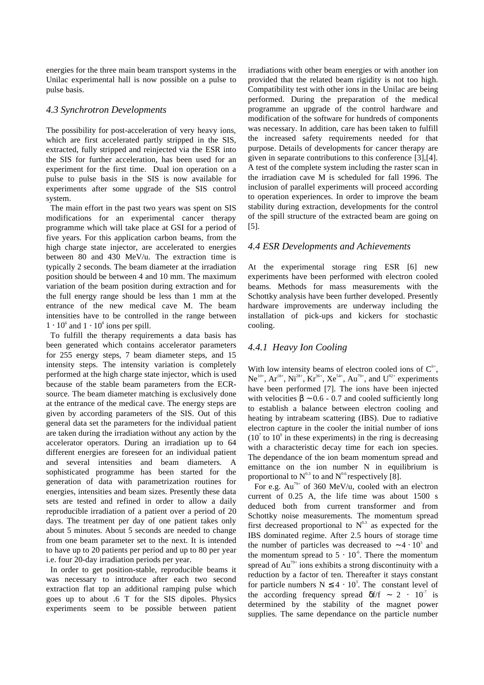energies for the three main beam transport systems in the Unilac experimental hall is now possible on a pulse to pulse basis.

#### *4.3 Synchrotron Developments*

The possibility for post-acceleration of very heavy ions, which are first accelerated partly stripped in the SIS, extracted, fully stripped and reinjected via the ESR into the SIS for further acceleration, has been used for an experiment for the first time. Dual ion operation on a pulse to pulse basis in the SIS is now available for experiments after some upgrade of the SIS control system.

 The main effort in the past two years was spent on SIS modifications for an experimental cancer therapy programme which will take place at GSI for a period of five years. For this application carbon beams, from the high charge state injector, are accelerated to energies between 80 and 430 MeV/u. The extraction time is typically 2 seconds. The beam diameter at the irradiation position should be between 4 and 10 mm. The maximum variation of the beam position during extraction and for the full energy range should be less than 1 mm at the entrance of the new medical cave M. The beam intensities have to be controlled in the range between  $1 \cdot 10^6$  and  $1 \cdot 10^8$  ions per spill.

 To fulfill the therapy requirements a data basis has been generated which contains accelerator parameters for 255 energy steps, 7 beam diameter steps, and 15 intensity steps. The intensity variation is completely performed at the high charge state injector, which is used because of the stable beam parameters from the ECRsource. The beam diameter matching is exclusively done at the entrance of the medical cave. The energy steps are given by according parameters of the SIS. Out of this general data set the parameters for the individual patient are taken during the irradiation without any action by the accelerator operators. During an irradiation up to 64 different energies are foreseen for an individual patient and several intensities and beam diameters. A sophisticated programme has been started for the generation of data with parametrization routines for energies, intensities and beam sizes. Presently these data sets are tested and refined in order to allow a daily reproducible irradiation of a patient over a period of 20 days. The treatment per day of one patient takes only about 5 minutes. About 5 seconds are needed to change from one beam parameter set to the next. It is intended to have up to 20 patients per period and up to 80 per year i.e. four 20-day irradiation periods per year.

 In order to get position-stable, reproducible beams it was necessary to introduce after each two second extraction flat top an additional ramping pulse which goes up to about .6 T for the SIS dipoles. Physics experiments seem to be possible between patient

irradiations with other beam energies or with another ion provided that the related beam rigidity is not too high. Compatibility test with other ions in the Unilac are being performed. During the preparation of the medical programme an upgrade of the control hardware and modification of the software for hundreds of components was necessary. In addition, care has been taken to fulfill the increased safety requirements needed for that purpose. Details of developments for cancer therapy are given in separate contributions to this conference [3],[4]. A test of the complete system including the raster scan in the irradiation cave M is scheduled for fall 1996. The inclusion of parallel experiments will proceed according to operation experiences. In order to improve the beam stability during extraction, developments for the control of the spill structure of the extracted beam are going on [5].

### *4.4 ESR Developments and Achievements*

At the experimental storage ring ESR [6] new experiments have been performed with electron cooled beams. Methods for mass measurements with the Schottky analysis have been further developed. Presently hardware improvements are underway including the installation of pick-ups and kickers for stochastic cooling.

# *4.4.1 Heavy Ion Cooling*

With low intensity beams of electron cooled ions of  $C^6$ ,  $Ne^{10+}$ ,  $Ar^{18+}$ ,  $Ni^{28+}$ ,  $Kr^{36+}$ ,  $Xe^{54+}$ ,  $Au^{79+}$ , and  $U^{92+}$  experiments have been performed [7]. The ions have been injected with velocities  $\beta \sim 0.6 - 0.7$  and cooled sufficiently long to establish a balance between electron cooling and heating by intrabeam scattering (IBS). Due to radiative electron capture in the cooler the initial number of ions  $(10<sup>7</sup>$  to  $10<sup>9</sup>$  in these experiments) in the ring is decreasing with a characteristic decay time for each ion species. The dependance of the ion beam momentum spread and emittance on the ion number N in equilibrium is proportional to  $N^{0.3}$  to and  $N^{0.6}$  respectively [8].

For e.g.  $Au^{79+}$  of 360 MeV/u, cooled with an electron current of 0.25 A, the life time was about 1500 s deduced both from current transformer and from Schottky noise measurements. The momentum spread first decreased proportional to  $N^{0.3}$  as expected for the IBS dominated regime. After 2.5 hours of storage time the number of particles was decreased to  $\sim 4 \cdot 10^3$  and the momentum spread to  $5 \cdot 10^{-6}$ . There the momentum spread of Au<sup>79+</sup> ions exhibits a strong discontinuity with a reduction by a factor of ten. Thereafter it stays constant for particle numbers  $N \leq 4 \cdot 10^3$ . The constant level of the according frequency spread  $\delta f/f \sim 2 \cdot 10^{-7}$  is determined by the stability of the magnet power supplies. The same dependance on the particle number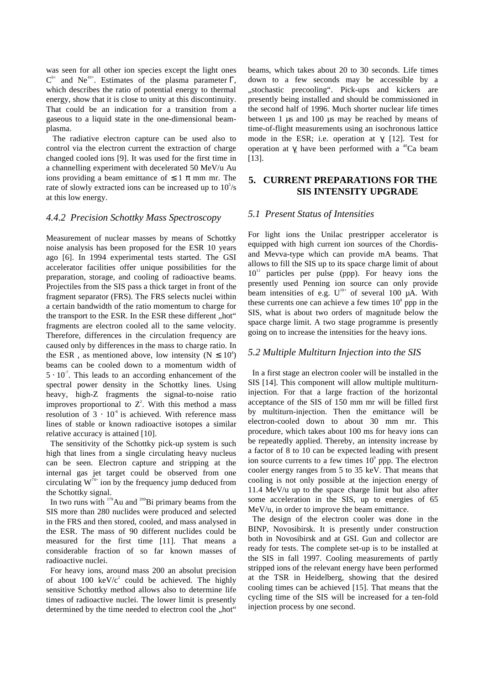was seen for all other ion species except the light ones  $C^{6+}$  and Ne<sup>10+</sup>. Estimates of the plasma parameter Γ, which describes the ratio of potential energy to thermal energy, show that it is close to unity at this discontinuity. That could be an indication for a transition from a gaseous to a liquid state in the one-dimensional beamplasma.

 The radiative electron capture can be used also to control via the electron current the extraction of charge changed cooled ions [9]. It was used for the first time in a channelling experiment with decelerated 50 MeV/u Au ions providing a beam emittance of  $\leq 1 \pi$  mm mr. The rate of slowly extracted ions can be increased up to  $10^5$ /s at this low energy.

### *4.4.2 Precision Schottky Mass Spectroscopy*

Measurement of nuclear masses by means of Schottky noise analysis has been proposed for the ESR 10 years ago [6]. In 1994 experimental tests started. The GSI accelerator facilities offer unique possibilities for the preparation, storage, and cooling of radioactive beams. Projectiles from the SIS pass a thick target in front of the fragment separator (FRS). The FRS selects nuclei within a certain bandwidth of the ratio momentum to charge for the transport to the ESR. In the ESR these different "hot" fragments are electron cooled all to the same velocity. Therefore, differences in the circulation frequency are caused only by differences in the mass to charge ratio. In the ESR, as mentioned above, low intensity ( $N \le 10^4$ ) beams can be cooled down to a momentum width of  $5 \cdot 10^{-7}$ . This leads to an according enhancement of the spectral power density in the Schottky lines. Using heavy, high-Z fragments the signal-to-noise ratio improves proportional to  $Z^2$ . With this method a mass resolution of  $3 \cdot 10^{-6}$  is achieved. With reference mass lines of stable or known radioactive isotopes a similar relative accuracy is attained [10].

 The sensitivity of the Schottky pick-up system is such high that lines from a single circulating heavy nucleus can be seen. Electron capture and stripping at the internal gas jet target could be observed from one circulating  $W^{74+}$  ion by the frequency jump deduced from the Schottky signal.

In two runs with <sup>179</sup>Au and <sup>209</sup>Bi primary beams from the SIS more than 280 nuclides were produced and selected in the FRS and then stored, cooled, and mass analysed in the ESR. The mass of 90 different nuclides could be measured for the first time [11]. That means a considerable fraction of so far known masses of radioactive nuclei.

 For heavy ions, around mass 200 an absolut precision of about 100 keV/ $c^2$  could be achieved. The highly sensitive Schottky method allows also to determine life times of radioactive nuclei. The lower limit is presently determined by the time needed to electron cool the "hot"

beams, which takes about 20 to 30 seconds. Life times down to a few seconds may be accessible by a "stochastic precooling". Pick-ups and kickers are presently being installed and should be commissioned in the second half of 1996. Much shorter nuclear life times between 1 us and 100 us may be reached by means of time-of-flight measurements using an isochronous lattice mode in the ESR; i.e. operation at  $\gamma_i$  [12]. Test for operation at  $\gamma$  have been performed with a <sup>40</sup>Ca beam [13].

### **5. CURRENT PREPARATIONS FOR THE SIS INTENSITY UPGRADE**

#### *5.1 Present Status of Intensities*

For light ions the Unilac prestripper accelerator is equipped with high current ion sources of the Chordisand Mevva-type which can provide mA beams. That allows to fill the SIS up to its space charge limit of about  $10<sup>11</sup>$  particles per pulse (ppp). For heavy ions the presently used Penning ion source can only provide beam intensities of e.g.  $U^{10+}$  of several 100  $\mu$ A. With these currents one can achieve a few times  $10<sup>8</sup>$  ppp in the SIS, what is about two orders of magnitude below the space charge limit. A two stage programme is presently going on to increase the intensities for the heavy ions.

#### *5.2 Multiple Multiturn Injection into the SIS*

 In a first stage an electron cooler will be installed in the SIS [14]. This component will allow multiple multiturninjection. For that a large fraction of the horizontal acceptance of the SIS of 150 mm mr will be filled first by multiturn-injection. Then the emittance will be electron-cooled down to about 30 mm mr. This procedure, which takes about 100 ms for heavy ions can be repeatedly applied. Thereby, an intensity increase by a factor of 8 to 10 can be expected leading with present ion source currents to a few times  $10^9$  ppp. The electron cooler energy ranges from 5 to 35 keV. That means that cooling is not only possible at the injection energy of 11.4 MeV/u up to the space charge limit but also after some acceleration in the SIS, up to energies of 65 MeV/u, in order to improve the beam emittance.

 The design of the electron cooler was done in the BINP, Novosibirsk. It is presently under construction both in Novosibirsk and at GSI. Gun and collector are ready for tests. The complete set-up is to be installed at the SIS in fall 1997. Cooling measurements of partly stripped ions of the relevant energy have been performed at the TSR in Heidelberg, showing that the desired cooling times can be achieved [15]. That means that the cycling time of the SIS will be increased for a ten-fold injection process by one second.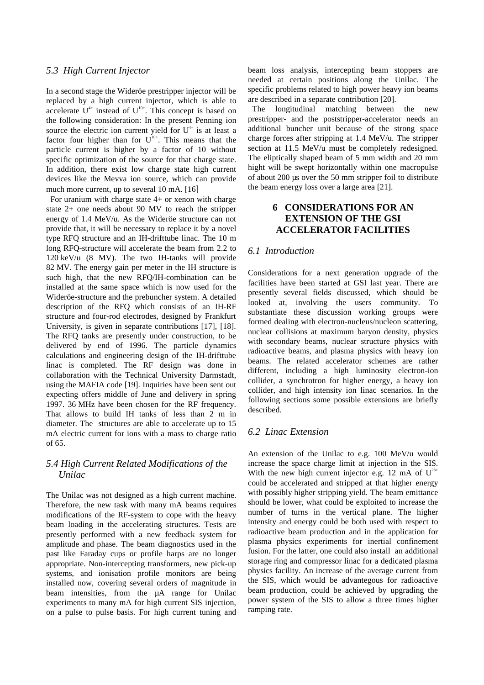#### *5.3 High Current Injector*

In a second stage the Wideröe prestripper injector will be replaced by a high current injector, which is able to accelerate  $U^{4+}$  instead of  $U^{10+}$ . This concept is based on the following consideration: In the present Penning ion source the electric ion current yield for  $U^{4+}$  is at least a factor four higher than for  $U^{10+}$ . This means that the particle current is higher by a factor of 10 without specific optimization of the source for that charge state. In addition, there exist low charge state high current devices like the Mevva ion source, which can provide much more current, up to several 10 mA. [16]

For uranium with charge state  $4+$  or xenon with charge state 2+ one needs about 90 MV to reach the stripper energy of 1.4 MeV/u. As the Wideröe structure can not provide that, it will be necessary to replace it by a novel type RFQ structure and an IH-drifttube linac. The 10 m long RFQ-structure will accelerate the beam from 2.2 to 120 keV/u (8 MV). The two IH-tanks will provide 82 MV. The energy gain per meter in the IH structure is such high, that the new RFQ/IH-combination can be installed at the same space which is now used for the Wideröe-structure and the prebuncher system. A detailed description of the RFQ which consists of an IH-RF structure and four-rod electrodes, designed by Frankfurt University, is given in separate contributions [17], [18]. The RFQ tanks are presently under construction, to be delivered by end of 1996. The particle dynamics calculations and engineering design of the IH-drifttube linac is completed. The RF design was done in collaboration with the Technical University Darmstadt, using the MAFIA code [19]. Inquiries have been sent out expecting offers middle of June and delivery in spring 1997. 36 MHz have been chosen for the RF frequency. That allows to build IH tanks of less than 2 m in diameter. The structures are able to accelerate up to 15 mA electric current for ions with a mass to charge ratio of 65.

# *5.4 High Current Related Modifications of the Unilac*

The Unilac was not designed as a high current machine. Therefore, the new task with many mA beams requires modifications of the RF-system to cope with the heavy beam loading in the accelerating structures. Tests are presently performed with a new feedback system for amplitude and phase. The beam diagnostics used in the past like Faraday cups or profile harps are no longer appropriate. Non-intercepting transformers, new pick-up systems, and ionisation profile monitors are being installed now, covering several orders of magnitude in beam intensities, from the uA range for Unilac experiments to many mA for high current SIS injection, on a pulse to pulse basis. For high current tuning and beam loss analysis, intercepting beam stoppers are needed at certain positions along the Unilac. The specific problems related to high power heavy ion beams are described in a separate contribution [20].

 The longitudinal matching between the new prestripper- and the poststripper-accelerator needs an additional buncher unit because of the strong space charge forces after stripping at 1.4 MeV/u. The stripper section at 11.5 MeV/u must be completely redesigned. The eliptically shaped beam of 5 mm width and 20 mm hight will be swept horizontally within one macropulse of about 200 µs over the 50 mm stripper foil to distribute the beam energy loss over a large area [21].

## **6 CONSIDERATIONS FOR AN EXTENSION OF THE GSI ACCELERATOR FACILITIES**

### *6.1 Introduction*

Considerations for a next generation upgrade of the facilities have been started at GSI last year. There are presently several fields discussed, which should be looked at, involving the users community. To substantiate these discussion working groups were formed dealing with electron-nucleus/nucleon scattering, nuclear collisions at maximum baryon density, physics with secondary beams, nuclear structure physics with radioactive beams, and plasma physics with heavy ion beams. The related accelerator schemes are rather different, including a high luminosity electron-ion collider, a synchrotron for higher energy, a heavy ion collider, and high intensity ion linac scenarios. In the following sections some possible extensions are briefly described.

## *6.2 Linac Extension*

An extension of the Unilac to e.g. 100 MeV/u would increase the space charge limit at injection in the SIS. With the new high current injector e.g. 12 mA of  $U^{28+}$ could be accelerated and stripped at that higher energy with possibly higher stripping yield. The beam emittance should be lower, what could be exploited to increase the number of turns in the vertical plane. The higher intensity and energy could be both used with respect to radioactive beam production and in the application for plasma physics experiments for inertial confinement fusion. For the latter, one could also install an additional storage ring and compressor linac for a dedicated plasma physics facility. An increase of the average current from the SIS, which would be advantegous for radioactive beam production, could be achieved by upgrading the power system of the SIS to allow a three times higher ramping rate.